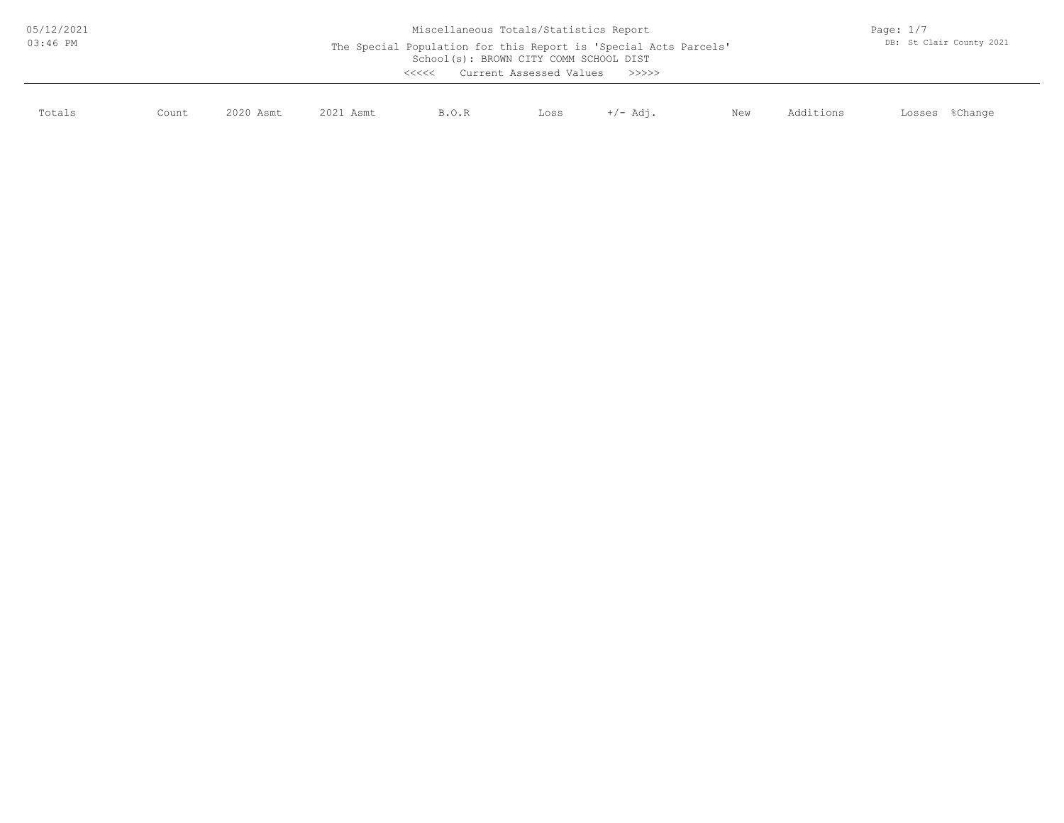| 05/12/2021<br>$03:46$ PM |       |           |           | Miscellaneous Totals/Statistics Report<br>The Special Population for this Report is 'Special Acts Parcels'<br>School(s): BROWN CITY COMM SCHOOL DIST<br><<<< | Current Assessed Values | >>>>>    |     |           | Page: $1/7$<br>DB: St Clair County 2021 |
|--------------------------|-------|-----------|-----------|--------------------------------------------------------------------------------------------------------------------------------------------------------------|-------------------------|----------|-----|-----------|-----------------------------------------|
| Totals                   | Count | 2020 Asmt | 2021 Asmt | B.O.R                                                                                                                                                        | Loss                    | +/- Adi. | New | Additions | %Change<br>Losses                       |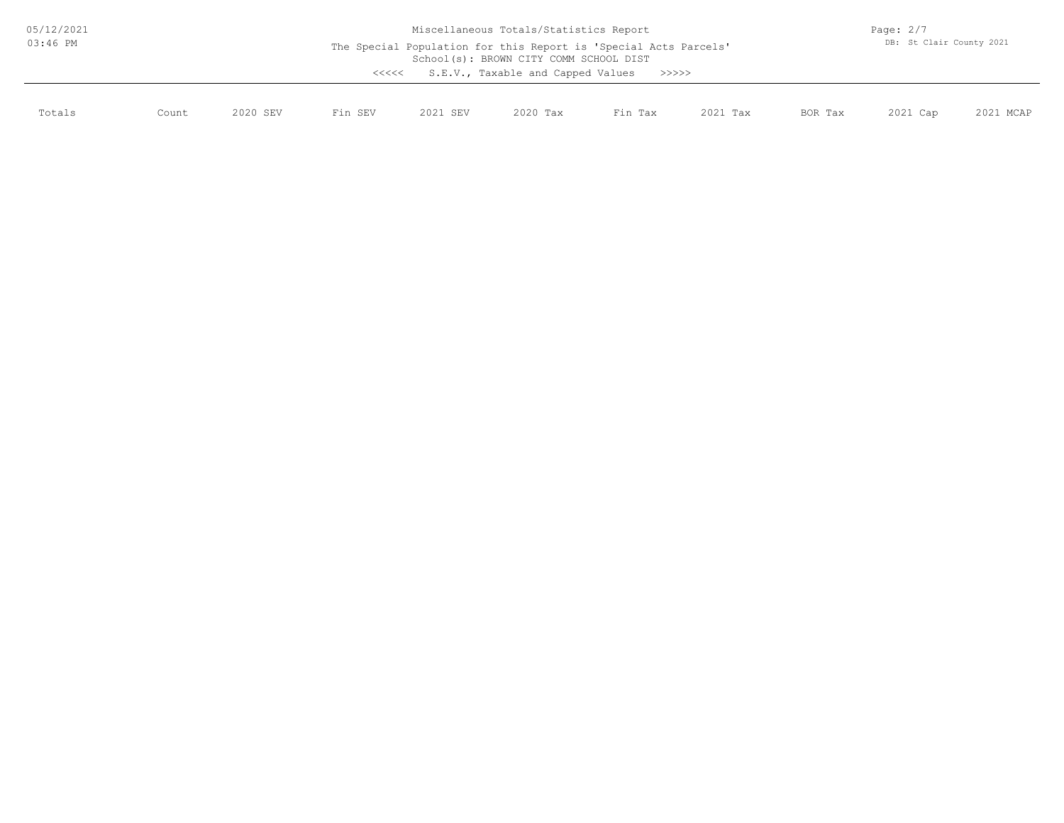| 05/12/2021<br>03:46 PM |       |          | Miscellaneous Totals/Statistics Report<br>The Special Population for this Report is 'Special Acts Parcels'<br>School(s): BROWN CITY COMM SCHOOL DIST<br>S.E.V., Taxable and Capped Values<br>>>>>>><br><<<< |          |          |         |          |         | Page: $2/7$<br>DB: St Clair County 2021 |           |  |
|------------------------|-------|----------|-------------------------------------------------------------------------------------------------------------------------------------------------------------------------------------------------------------|----------|----------|---------|----------|---------|-----------------------------------------|-----------|--|
| Totals                 | Count | 2020 SEV | Fin SEV                                                                                                                                                                                                     | 2021 SEV | 2020 Tax | Fin Tax | 2021 Tax | BOR Tax | 2021 Cap                                | 2021 MCAP |  |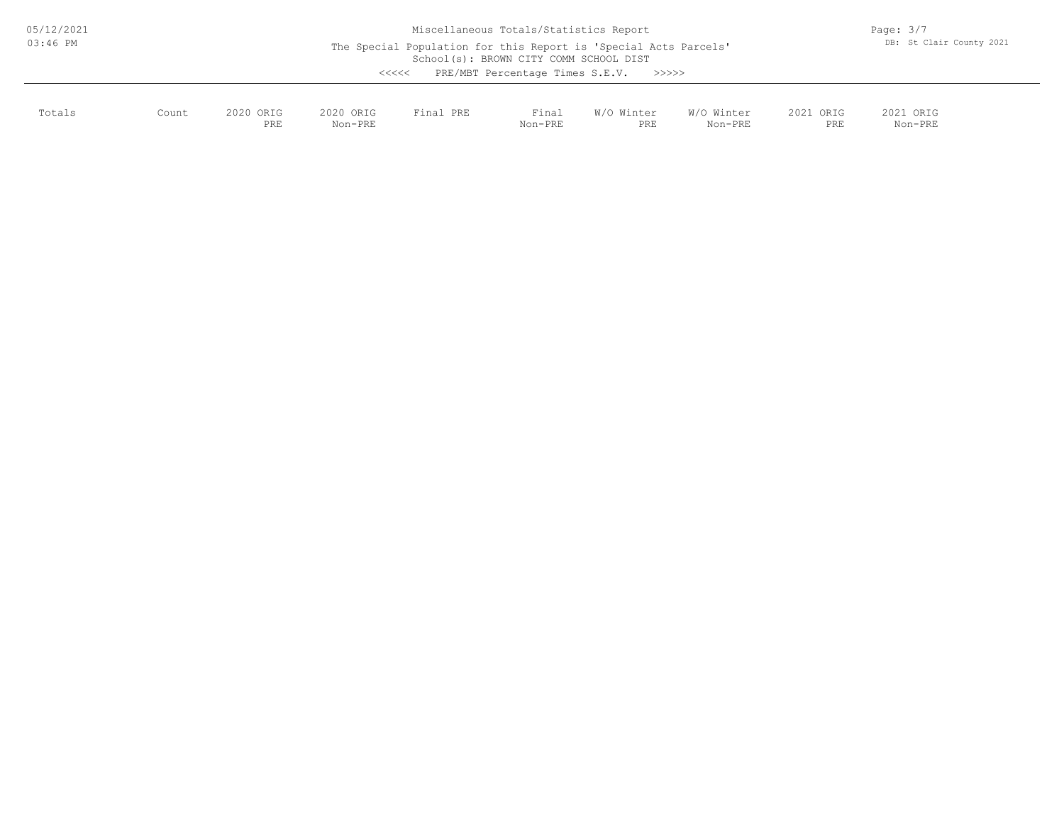| 05/12/2021  |  |
|-------------|--|
| $0.3:46$ PM |  |

School(s): BROWN CITY COMM SCHOOL DIST Miscellaneous Totals/Statistics Report The Special Population for this Report is 'Special Acts Parcels' <<<<< PRE/MBT Percentage Times S.E.V. >>>>>

| Totals | Count | 2020 ORIG | 2020 ORIG | Final PRE | Final   | W/O Winter | W/O Winter | 2021 ORIG | 2021 ORIG |
|--------|-------|-----------|-----------|-----------|---------|------------|------------|-----------|-----------|
|        |       | PRE       | Non-PRE   |           | Non-PRE | PRE        | Non-PRE    | PRE       | Non-PRE   |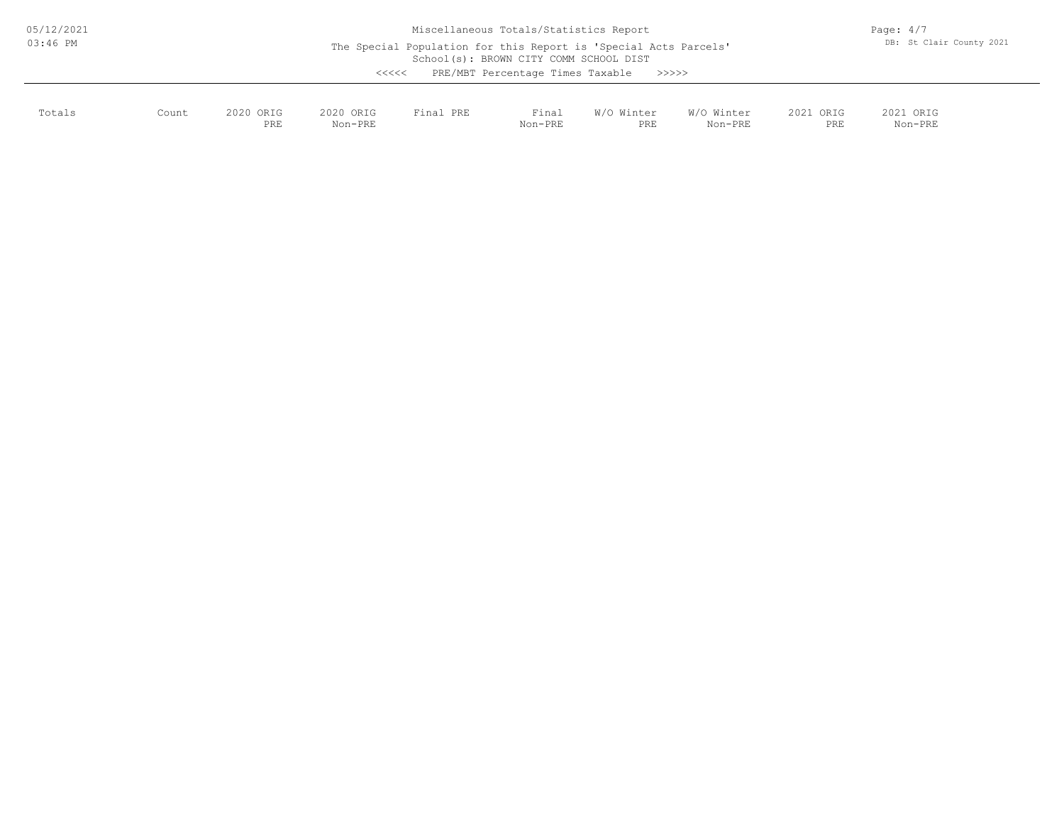| 05/12/2021  |  |
|-------------|--|
| $0.3:46$ PM |  |

School(s): BROWN CITY COMM SCHOOL DIST Miscellaneous Totals/Statistics Report The Special Population for this Report is 'Special Acts Parcels'

<<<<< PRE/MBT Percentage Times Taxable >>>>>

| Totals | Count | 2020 ORIG | 2020 ORIG | Final PRE | Final   | W/O Winter | W/O Winter | 2021 ORIG | 2021 ORIG |
|--------|-------|-----------|-----------|-----------|---------|------------|------------|-----------|-----------|
|        |       | PRE       | Non-PRE   |           | Non-PRE | PRE        | Non-PRE    | PRE       | Non-PRE   |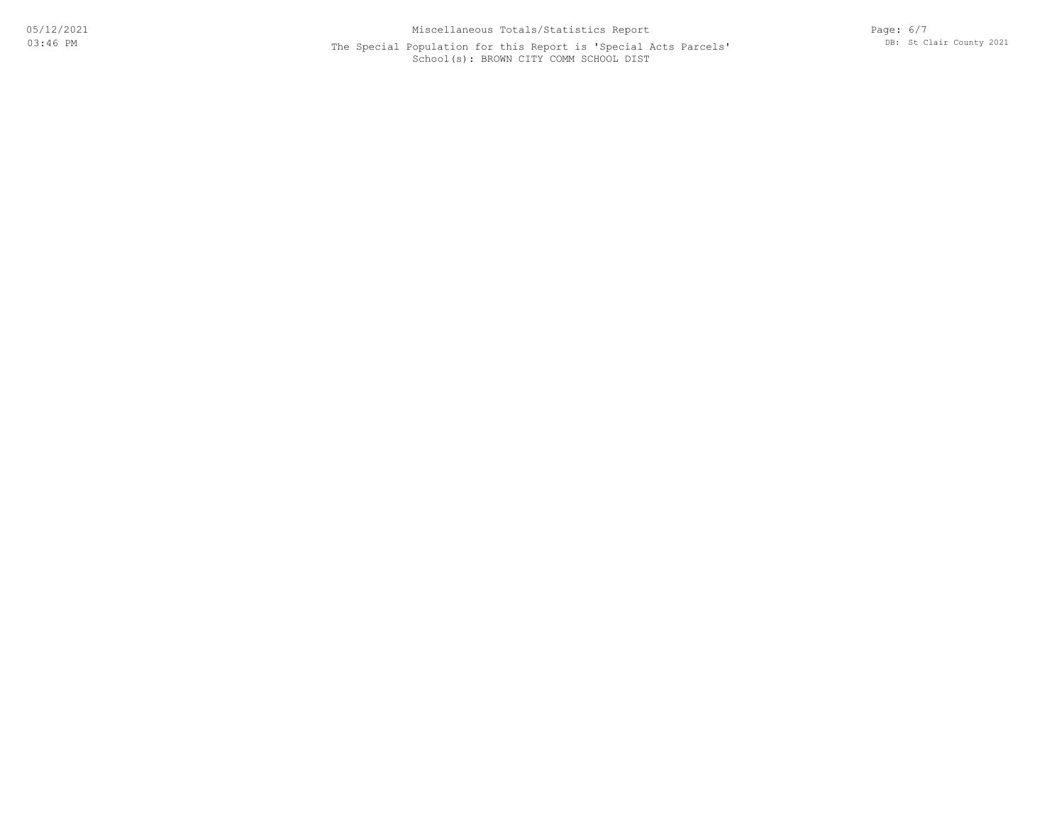School(s): BROWN CITY COMM SCHOOL DIST The Special Population for this Report is 'Special Acts Parcels'